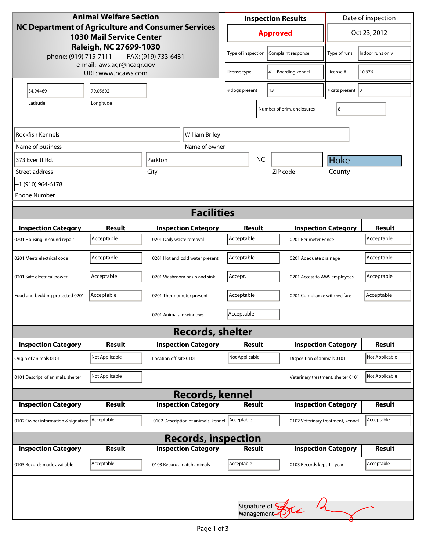| <b>Animal Welfare Section</b><br>NC Department of Agriculture and Consumer Services<br><b>1030 Mail Service Center</b><br>Raleigh, NC 27699-1030<br>phone: (919) 715-7111<br>FAX: (919) 733-6431 |                |                                      | <b>Inspection Results</b>                  |                              |                                    | Date of inspection         |                  |
|--------------------------------------------------------------------------------------------------------------------------------------------------------------------------------------------------|----------------|--------------------------------------|--------------------------------------------|------------------------------|------------------------------------|----------------------------|------------------|
|                                                                                                                                                                                                  |                |                                      | <b>Approved</b>                            |                              |                                    | Oct 23, 2012               |                  |
|                                                                                                                                                                                                  |                |                                      | Type of inspection                         |                              | Complaint response                 | Type of runs               | Indoor runs only |
| e-mail: aws.agr@ncagr.gov<br>URL: www.ncaws.com                                                                                                                                                  |                | 41 - Boarding kennel<br>license type |                                            | License #                    | 10,976                             |                            |                  |
| 34.94469                                                                                                                                                                                         | 79.05602       |                                      | 13<br># dogs present                       |                              | # cats present   0                 |                            |                  |
| Latitude                                                                                                                                                                                         |                |                                      |                                            | Number of prim. enclosures   | 8                                  |                            |                  |
| Rockfish Kennels                                                                                                                                                                                 |                | William Briley                       |                                            |                              |                                    |                            |                  |
| Name of business                                                                                                                                                                                 |                | Name of owner                        |                                            |                              |                                    |                            |                  |
| 373 Everitt Rd.                                                                                                                                                                                  | Parkton        |                                      |                                            | <b>NC</b>                    |                                    | Hoke                       |                  |
| Street address                                                                                                                                                                                   | City           |                                      |                                            |                              | ZIP code                           | County                     |                  |
| +1 (910) 964-6178                                                                                                                                                                                |                |                                      |                                            |                              |                                    |                            |                  |
| <b>Phone Number</b>                                                                                                                                                                              |                |                                      |                                            |                              |                                    |                            |                  |
| <b>Facilities</b>                                                                                                                                                                                |                |                                      |                                            |                              |                                    |                            |                  |
| <b>Inspection Category</b>                                                                                                                                                                       | <b>Result</b>  | <b>Inspection Category</b>           | Result                                     |                              |                                    | <b>Inspection Category</b> | <b>Result</b>    |
| 0201 Housing in sound repair                                                                                                                                                                     | Acceptable     | 0201 Daily waste removal             | Acceptable                                 |                              |                                    | 0201 Perimeter Fence       |                  |
| 0201 Meets electrical code                                                                                                                                                                       | Acceptable     | 0201 Hot and cold water present      | Acceptable                                 |                              | 0201 Adequate drainage             |                            | Acceptable       |
| 0201 Safe electrical power                                                                                                                                                                       | Acceptable     | 0201 Washroom basin and sink         | Accept.                                    | 0201 Access to AWS employees |                                    |                            | Acceptable       |
| Food and bedding protected 0201                                                                                                                                                                  | Acceptable     | 0201 Thermometer present             | Acceptable<br>0201 Compliance with welfare |                              |                                    | Acceptable                 |                  |
|                                                                                                                                                                                                  |                | 0201 Animals in windows              | Acceptable                                 |                              |                                    |                            |                  |
| <b>Records, shelter</b>                                                                                                                                                                          |                |                                      |                                            |                              |                                    |                            |                  |
| <b>Inspection Category</b>                                                                                                                                                                       | <b>Result</b>  | <b>Inspection Category</b>           | <b>Result</b>                              |                              |                                    | <b>Inspection Category</b> | <b>Result</b>    |
| Origin of animals 0101                                                                                                                                                                           | Not Applicable | Location off-site 0101               | Not Applicable                             |                              | Disposition of animals 0101        |                            | Not Applicable   |
| 0101 Descript. of animals, shelter                                                                                                                                                               | Not Applicable |                                      |                                            |                              | Veterinary treatment, shelter 0101 |                            | Not Applicable   |
| <b>Records, kennel</b>                                                                                                                                                                           |                |                                      |                                            |                              |                                    |                            |                  |
| <b>Inspection Category</b>                                                                                                                                                                       | <b>Result</b>  | <b>Inspection Category</b>           | <b>Result</b>                              |                              |                                    | <b>Inspection Category</b> | <b>Result</b>    |
| 0102 Owner information & signature Acceptable                                                                                                                                                    |                | 0102 Description of animals, kennel  | Acceptable                                 |                              | 0102 Veterinary treatment, kennel  |                            | Acceptable       |
| <b>Records, inspection</b>                                                                                                                                                                       |                |                                      |                                            |                              |                                    |                            |                  |
| <b>Inspection Category</b>                                                                                                                                                                       | Result         | <b>Inspection Category</b>           | <b>Result</b>                              |                              |                                    | <b>Inspection Category</b> | <b>Result</b>    |
| 0103 Records made available                                                                                                                                                                      | Acceptable     | 0103 Records match animals           | Acceptable                                 |                              | 0103 Records kept 1+ year          |                            | Acceptable       |
|                                                                                                                                                                                                  |                |                                      |                                            |                              |                                    |                            |                  |
| Signature of <b>ANA</b>                                                                                                                                                                          |                |                                      |                                            |                              |                                    |                            |                  |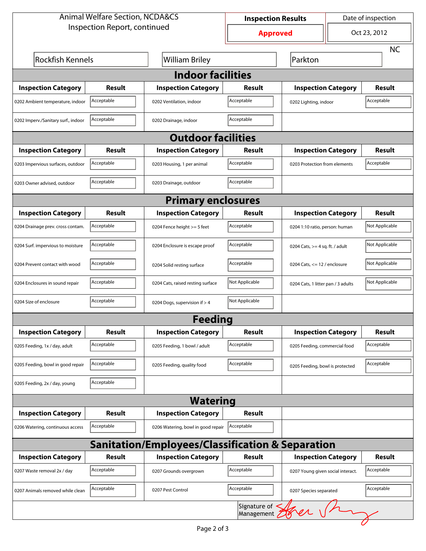| <b>Animal Welfare Section, NCDA&amp;CS</b>       |               |                                    | <b>Inspection Results</b> |                                    | Date of inspection |                |  |  |
|--------------------------------------------------|---------------|------------------------------------|---------------------------|------------------------------------|--------------------|----------------|--|--|
| Inspection Report, continued                     |               |                                    | <b>Approved</b>           |                                    |                    | Oct 23, 2012   |  |  |
|                                                  |               |                                    |                           |                                    |                    | <b>NC</b>      |  |  |
| <b>Rockfish Kennels</b>                          |               | <b>William Briley</b>              |                           | Parkton                            |                    |                |  |  |
| <b>Indoor facilities</b>                         |               |                                    |                           |                                    |                    |                |  |  |
| <b>Inspection Category</b>                       | Result        | <b>Inspection Category</b>         | Result                    | <b>Inspection Category</b>         |                    | <b>Result</b>  |  |  |
| 0202 Ambient temperature, indoor                 | Acceptable    | 0202 Ventilation, indoor           | Acceptable                | 0202 Lighting, indoor              |                    | Acceptable     |  |  |
| 0202 Imperv./Sanitary surf., indoor              | Acceptable    | 0202 Drainage, indoor              | Acceptable                |                                    |                    |                |  |  |
| <b>Outdoor facilities</b>                        |               |                                    |                           |                                    |                    |                |  |  |
| <b>Inspection Category</b>                       | Result        | <b>Inspection Category</b>         | Result                    | <b>Inspection Category</b>         |                    | <b>Result</b>  |  |  |
| 0203 Impervious surfaces, outdoor                | Acceptable    | 0203 Housing, 1 per animal         | Acceptable                | 0203 Protection from elements      |                    | Acceptable     |  |  |
| 0203 Owner advised, outdoor                      | Acceptable    | 0203 Drainage, outdoor             | Acceptable                |                                    |                    |                |  |  |
| <b>Primary enclosures</b>                        |               |                                    |                           |                                    |                    |                |  |  |
| <b>Inspection Category</b>                       | Result        | <b>Inspection Category</b>         | Result                    | <b>Inspection Category</b>         |                    | Result         |  |  |
| 0204 Drainage prev. cross contam.                | Acceptable    | 0204 Fence height >= 5 feet        | Acceptable                | 0204 1:10 ratio, person: human     |                    | Not Applicable |  |  |
| 0204 Surf. impervious to moisture                | Acceptable    | 0204 Enclosure is escape proof     | Acceptable                | 0204 Cats, $>=$ 4 sq. ft. / adult  |                    | Not Applicable |  |  |
| 0204 Prevent contact with wood                   | Acceptable    | 0204 Solid resting surface         | Acceptable                | 0204 Cats, $<= 12$ / enclosure     |                    | Not Applicable |  |  |
| 0204 Enclosures in sound repair                  | Acceptable    | 0204 Cats, raised resting surface  | Not Applicable            | 0204 Cats, 1 litter pan / 3 adults |                    | Not Applicable |  |  |
| 0204 Size of enclosure                           | Acceptable    | 0204 Dogs, supervision if > 4      | Not Applicable            |                                    |                    |                |  |  |
|                                                  |               | <b>Feeding</b>                     |                           |                                    |                    |                |  |  |
| <b>Inspection Category</b>                       | <b>Result</b> | <b>Inspection Category</b>         | <b>Result</b>             | <b>Inspection Category</b>         |                    | <b>Result</b>  |  |  |
| 0205 Feeding, 1x / day, adult                    | Acceptable    | 0205 Feeding, 1 bowl / adult       | Acceptable                | 0205 Feeding, commercial food      |                    | Acceptable     |  |  |
| 0205 Feeding, bowl in good repair                | Acceptable    | 0205 Feeding, quality food         | Acceptable                | 0205 Feeding, bowl is protected    |                    | Acceptable     |  |  |
| 0205 Feeding, 2x / day, young                    | Acceptable    |                                    |                           |                                    |                    |                |  |  |
| <b>Watering</b>                                  |               |                                    |                           |                                    |                    |                |  |  |
| <b>Inspection Category</b>                       | <b>Result</b> | <b>Inspection Category</b>         | <b>Result</b>             |                                    |                    |                |  |  |
| 0206 Watering, continuous access                 | Acceptable    | 0206 Watering, bowl in good repair | Acceptable                |                                    |                    |                |  |  |
| Sanitation/Employees/Classification & Separation |               |                                    |                           |                                    |                    |                |  |  |
| <b>Inspection Category</b>                       | <b>Result</b> | <b>Inspection Category</b>         | Result                    | <b>Inspection Category</b>         |                    | <b>Result</b>  |  |  |
| 0207 Waste removal 2x / day                      | Acceptable    | 0207 Grounds overgrown             | Acceptable                | 0207 Young given social interact.  |                    | Acceptable     |  |  |
| 0207 Animals removed while clean                 | Acceptable    | 0207 Pest Control                  | Acceptable                | 0207 Species separated             |                    | Acceptable     |  |  |
| Signature of Street                              |               |                                    |                           |                                    |                    |                |  |  |
|                                                  |               |                                    |                           |                                    |                    |                |  |  |